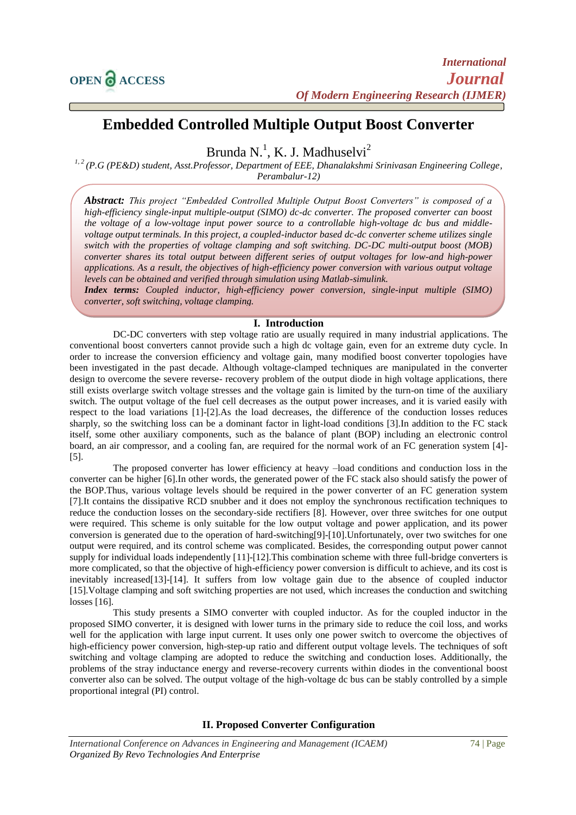# **Embedded Controlled Multiple Output Boost Converter**

Brunda N.<sup>1</sup>, K. J. Madhuselvi<sup>2</sup>

*1, 2 (P.G (PE&D) student, Asst.Professor, Department of EEE, Dhanalakshmi Srinivasan Engineering College, Perambalur-12)*

*Abstract: This project "Embedded Controlled Multiple Output Boost Converters" is composed of a high-efficiency single-input multiple-output (SIMO) dc-dc converter. The proposed converter can boost the voltage of a low-voltage input power source to a controllable high-voltage dc bus and middlevoltage output terminals. In this project, a coupled-inductor based dc-dc converter scheme utilizes single switch with the properties of voltage clamping and soft switching. DC-DC multi-output boost (MOB) converter shares its total output between different series of output voltages for low-and high-power applications. As a result, the objectives of high-efficiency power conversion with various output voltage levels can be obtained and verified through simulation using Matlab-simulink.*

*Index terms: Coupled inductor, high-efficiency power conversion, single-input multiple (SIMO) converter, soft switching, voltage clamping.*

## **I. Introduction**

DC-DC converters with step voltage ratio are usually required in many industrial applications. The conventional boost converters cannot provide such a high dc voltage gain, even for an extreme duty cycle. In order to increase the conversion efficiency and voltage gain, many modified boost converter topologies have been investigated in the past decade. Although voltage-clamped techniques are manipulated in the converter design to overcome the severe reverse- recovery problem of the output diode in high voltage applications, there still exists overlarge switch voltage stresses and the voltage gain is limited by the turn-on time of the auxiliary switch. The output voltage of the fuel cell decreases as the output power increases, and it is varied easily with respect to the load variations [1]-[2].As the load decreases, the difference of the conduction losses reduces sharply, so the switching loss can be a dominant factor in light-load conditions [3].In addition to the FC stack itself, some other auxiliary components, such as the balance of plant (BOP) including an electronic control board, an air compressor, and a cooling fan, are required for the normal work of an FC generation system [4]- [5].

The proposed converter has lower efficiency at heavy –load conditions and conduction loss in the converter can be higher [6].In other words, the generated power of the FC stack also should satisfy the power of the BOP.Thus, various voltage levels should be required in the power converter of an FC generation system [7].It contains the dissipative RCD snubber and it does not employ the synchronous rectification techniques to reduce the conduction losses on the secondary-side rectifiers [8]. However, over three switches for one output were required. This scheme is only suitable for the low output voltage and power application, and its power conversion is generated due to the operation of hard-switching[9]-[10].Unfortunately, over two switches for one output were required, and its control scheme was complicated. Besides, the corresponding output power cannot supply for individual loads independently [11]-[12]. This combination scheme with three full-bridge converters is more complicated, so that the objective of high-efficiency power conversion is difficult to achieve, and its cost is inevitably increased[13]-[14]. It suffers from low voltage gain due to the absence of coupled inductor [15].Voltage clamping and soft switching properties are not used, which increases the conduction and switching losses [16].

This study presents a SIMO converter with coupled inductor. As for the coupled inductor in the proposed SIMO converter, it is designed with lower turns in the primary side to reduce the coil loss, and works well for the application with large input current. It uses only one power switch to overcome the objectives of high-efficiency power conversion, high-step-up ratio and different output voltage levels. The techniques of soft switching and voltage clamping are adopted to reduce the switching and conduction loses. Additionally, the problems of the stray inductance energy and reverse-recovery currents within diodes in the conventional boost converter also can be solved. The output voltage of the high-voltage dc bus can be stably controlled by a simple proportional integral (PI) control.

**II. Proposed Converter Configuration**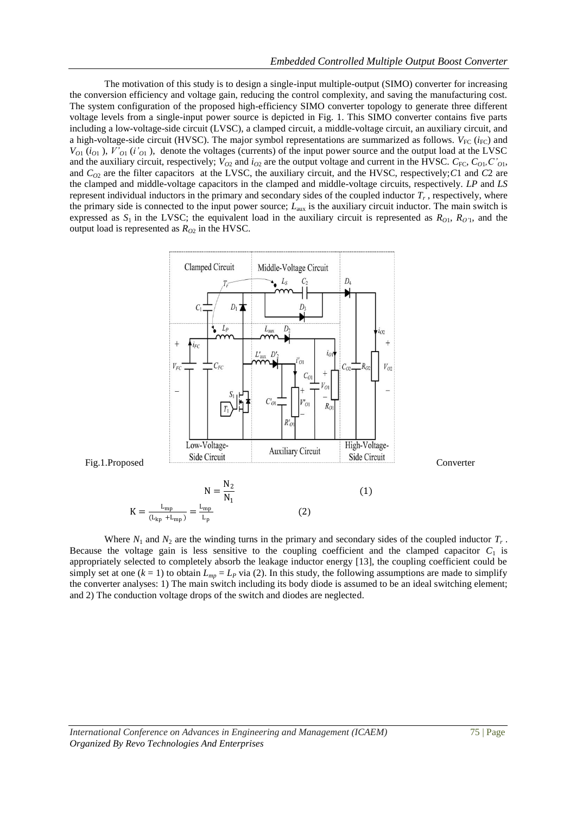The motivation of this study is to design a single-input multiple-output (SIMO) converter for increasing the conversion efficiency and voltage gain, reducing the control complexity, and saving the manufacturing cost. The system configuration of the proposed high-efficiency SIMO converter topology to generate three different voltage levels from a single-input power source is depicted in Fig. 1. This SIMO converter contains five parts including a low-voltage-side circuit (LVSC), a clamped circuit, a middle-voltage circuit, an auxiliary circuit, and a high-voltage-side circuit (HVSC). The major symbol representations are summarized as follows.  $V_{\text{FC}}(i_{\text{FC}})$  and  $V_{O1}$  ( $i_{O1}$ ),  $V'_{O1}$  ( $i'_{O1}$ ), denote the voltages (currents) of the input power source and the output load at the LVSC and the auxiliary circuit, respectively;  $V_{O2}$  and  $i_{O2}$  are the output voltage and current in the HVSC.  $C_{\text{FC}}$ ,  $C_{O1}$ ,  $C'_{O1}$ , and *CO*<sup>2</sup> are the filter capacitors at the LVSC, the auxiliary circuit, and the HVSC, respectively;*C*1 and *C*2 are the clamped and middle-voltage capacitors in the clamped and middle-voltage circuits, respectively. *LP* and *LS*  represent individual inductors in the primary and secondary sides of the coupled inductor *T<sup>r</sup>* , respectively, where the primary side is connected to the input power source; *L*aux is the auxiliary circuit inductor. The main switch is expressed as  $S_1$  in the LVSC; the equivalent load in the auxiliary circuit is represented as  $R_{O1}$ ,  $R_{O1}$ , and the output load is represented as  $R_{O2}$  in the HVSC.



Where  $N_1$  and  $N_2$  are the winding turns in the primary and secondary sides of the coupled inductor  $T_r$ . Because the voltage gain is less sensitive to the coupling coefficient and the clamped capacitor  $C_1$  is appropriately selected to completely absorb the leakage inductor energy [13], the coupling coefficient could be simply set at one  $(k = 1)$  to obtain  $L_{mp} = L_P$  via (2). In this study, the following assumptions are made to simplify the converter analyses: 1) The main switch including its body diode is assumed to be an ideal switching element; and 2) The conduction voltage drops of the switch and diodes are neglected.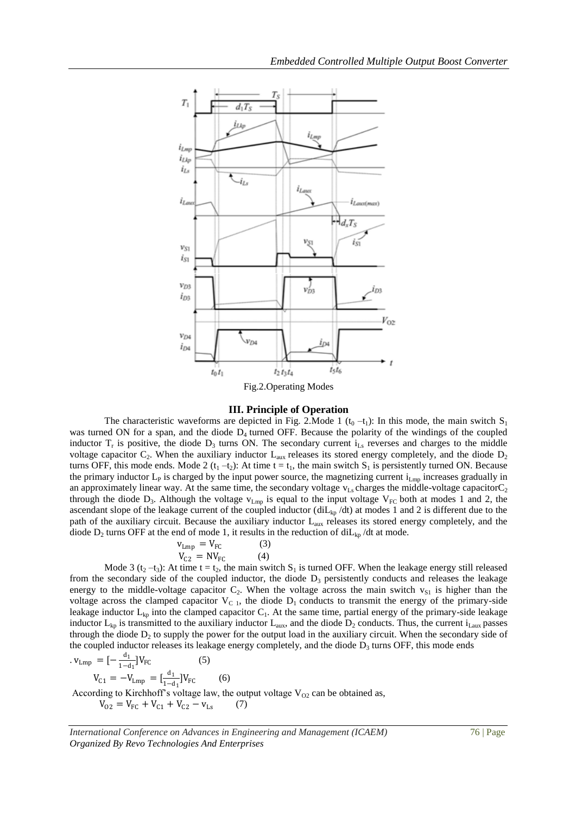

#### **III. Principle of Operation**

The characteristic waveforms are depicted in Fig. 2. Mode 1 ( $t_0 - t_1$ ): In this mode, the main switch S<sub>1</sub> was turned ON for a span, and the diode  $D_4$  turned OFF. Because the polarity of the windings of the coupled inductor  $T_r$  is positive, the diode  $D_3$  turns ON. The secondary current  $i_{Ls}$  reverses and charges to the middle voltage capacitor  $C_2$ . When the auxiliary inductor  $L_{\text{aux}}$  releases its stored energy completely, and the diode  $D_2$ turns OFF, this mode ends. Mode 2 ( $t_1 - t_2$ ): At time  $t = t_1$ , the main switch  $S_1$  is persistently turned ON. Because the primary inductor  $L_p$  is charged by the input power source, the magnetizing current  $i_{Lmp}$  increases gradually in an approximately linear way. At the same time, the secondary voltage  $v_{\text{Ls}}$  charges the middle-voltage capacitor  $C_2$ through the diode  $D_3$ . Although the voltage  $v_{\rm Lmp}$  is equal to the input voltage  $V_{\rm FC}$  both at modes 1 and 2, the ascendant slope of the leakage current of the coupled inductor (diL<sub>kp</sub> /dt) at modes 1 and 2 is different due to the path of the auxiliary circuit. Because the auxiliary inductor  $L_{\text{aux}}$  releases its stored energy completely, and the diode  $D_2$  turns OFF at the end of mode 1, it results in the reduction of diL<sub>kp</sub> /dt at mode.

$$
v_{Lmp} = V_{FC}
$$
 (3)  

$$
V_{C2} = NV_{FC}
$$
 (4)

Mode 3 (t<sub>2</sub> –t<sub>3</sub>): At time t = t<sub>2</sub>, the main switch  $S_1$  is turned OFF. When the leakage energy still released from the secondary side of the coupled inductor, the diode  $D_3$  persistently conducts and releases the leakage energy to the middle-voltage capacitor  $C_2$ . When the voltage across the main switch  $v_{S_1}$  is higher than the voltage across the clamped capacitor  $V_{C,1}$ , the diode  $D_1$  conducts to transmit the energy of the primary-side leakage inductor  $L_{kp}$  into the clamped capacitor  $C_1$ . At the same time, partial energy of the primary-side leakage inductor  $L_{kp}$  is transmitted to the auxiliary inductor  $L_{aux}$ , and the diode  $D_2$  conducts. Thus, the current i<sub>Laux</sub> passes through the diode  $D_2$  to supply the power for the output load in the auxiliary circuit. When the secondary side of the coupled inductor releases its leakage energy completely, and the diode  $D_3$  turns OFF, this mode ends  $d_1$ .

$$
v_{Lmp} = \left[-\frac{u_1}{1-d_1}\right]V_{FC}
$$
 (5)  
\n
$$
V_{C1} = -V_{Lmp} = \left[\frac{d_1}{1-d_1}\right]V_{FC}
$$
 (6)  
\nAccording to Kirchhoff's voltage law, the output voltage  $V_{O2}$  can be obtained as,  
\n
$$
V_{O2} = V_{FC} + V_{C1} + V_{C2} - v_{Ls}
$$
 (7)

*International Conference on Advances in Engineering and Management (ICAEM)* 76 | Page *Organized By Revo Technologies And Enterprises*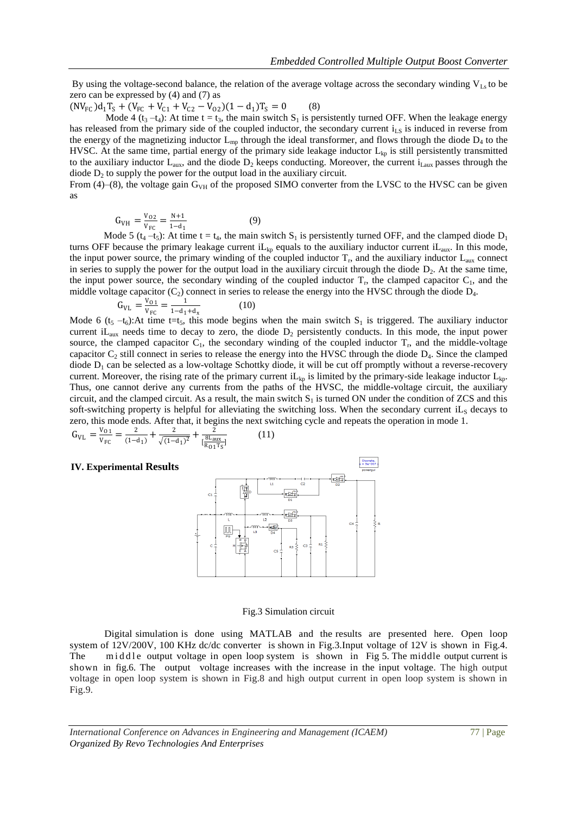By using the voltage-second balance, the relation of the average voltage across the secondary winding  $V_{\text{Ls}}$  to be zero can be expressed by (4) and (7) as

 $(NV_{FC})d_1T_S + (V_{FC} + V_{C1} + V_{C2} - V_{02})(1 - d_1)T_S = 0$  (8)

Mode 4 (t<sub>3</sub> –t<sub>4</sub>): At time t = t<sub>3</sub>, the main switch S<sub>1</sub> is persistently turned OFF. When the leakage energy has released from the primary side of the coupled inductor, the secondary current  $i<sub>LS</sub>$  is induced in reverse from the energy of the magnetizing inductor  $L_{mp}$  through the ideal transformer, and flows through the diode  $D_4$  to the HVSC. At the same time, partial energy of the primary side leakage inductor  $L_{kp}$  is still persistently transmitted to the auxiliary inductor  $L_{\text{aux}}$ , and the diode  $D_2$  keeps conducting. Moreover, the current  $i_{\text{Laux}}$  passes through the diode  $D_2$  to supply the power for the output load in the auxiliary circuit.

From (4)–(8), the voltage gain  $G_{VH}$  of the proposed SIMO converter from the LVSC to the HVSC can be given as

$$
G_{VH} = \frac{V_{02}}{V_{FC}} = \frac{N+1}{1-d_1}
$$
 (9)

Mode 5 ( $t_4$  – $t_5$ ): At time t =  $t_4$ , the main switch  $S_1$  is persistently turned OFF, and the clamped diode  $D_1$ turns OFF because the primary leakage current  $iL_{kp}$  equals to the auxiliary inductor current  $iL_{aux}$ . In this mode, the input power source, the primary winding of the coupled inductor  $T_r$ , and the auxiliary inductor  $L_{\text{aux}}$  connect in series to supply the power for the output load in the auxiliary circuit through the diode  $D_2$ . At the same time, the input power source, the secondary winding of the coupled inductor  $T_r$ , the clamped capacitor  $C_1$ , and the middle voltage capacitor  $(C_2)$  connect in series to release the energy into the HVSC through the diode  $D_4$ .

$$
G_{VL} = \frac{V_{01}}{V_{FC}} = \frac{1}{1 - d_1 + d_x}
$$
 (10)

Mode 6 ( $t_5 - t_6$ ):At time t=t<sub>5</sub>, this mode begins when the main switch S<sub>1</sub> is triggered. The auxiliary inductor current i $L_{aux}$  needs time to decay to zero, the diode  $D_2$  persistently conducts. In this mode, the input power source, the clamped capacitor  $C_1$ , the secondary winding of the coupled inductor  $T_r$ , and the middle-voltage capacitor  $C_2$  still connect in series to release the energy into the HVSC through the diode  $D_4$ . Since the clamped diode  $D_1$  can be selected as a low-voltage Schottky diode, it will be cut off promptly without a reverse-recovery current. Moreover, the rising rate of the primary current  $iL_{kn}$  is limited by the primary-side leakage inductor  $L_{kn}$ . Thus, one cannot derive any currents from the paths of the HVSC, the middle-voltage circuit, the auxiliary circuit, and the clamped circuit. As a result, the main switch  $S_1$  is turned ON under the condition of ZCS and this soft-switching property is helpful for alleviating the switching loss. When the secondary current  $iL_s$  decays to zero, this mode ends. After that, it begins the next switching cycle and repeats the operation in mode 1.

 $G_{\text{VL}} = \frac{V_{01}}{V_{\text{rec}}}$  $\frac{V_{01}}{V_{FC}} = \frac{2}{(1 - \epsilon)}$  $\frac{2}{(1-d_1)} + \frac{2}{\sqrt{1-1}}$  $\frac{2}{\sqrt{(1-d_1)^2}} + \frac{2}{\left[\frac{8L_a}{R_a}\right]}$  $\sqrt{\frac{8 \text{L_{aux}}}{R_{01}T_S}}$ ] (11)

#### **IV. Experimental Results**



#### Fig.3 Simulation circuit

Digital simulation is done using MATLAB and the results are presented here. Open loop system of 12V/200V, 100 KHz dc/dc converter is shown in Fig.3.Input voltage of 12V is shown in Fig.4. The middle output voltage in open loop system is shown in Fig 5. The middle output current is shown in fig.6. The output voltage increases with the increase in the input voltage. The high output voltage in open loop system is shown in Fig.8 and high output current in open loop system is shown in Fig.9.

*International Conference on Advances in Engineering and Management (ICAEM)* 77 | Page *Organized By Revo Technologies And Enterprises*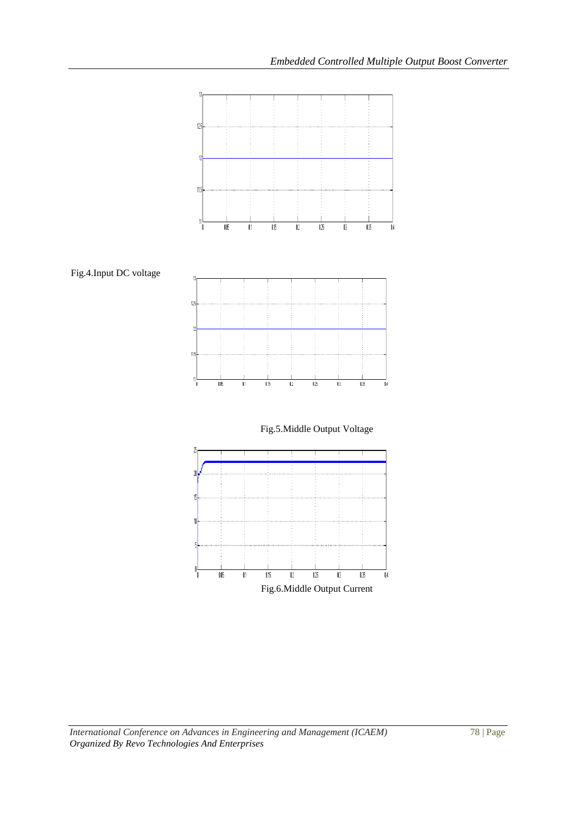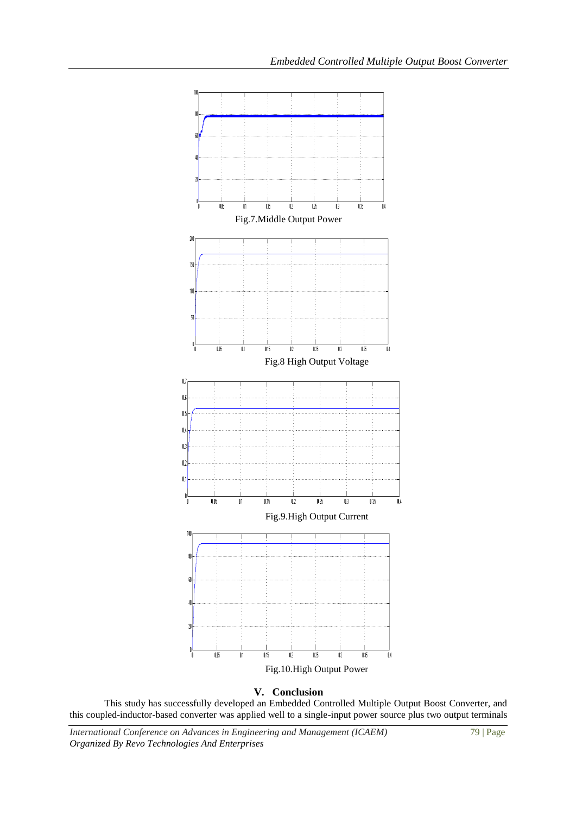

## **V. Conclusion**

This study has successfully developed an Embedded Controlled Multiple Output Boost Converter, and this coupled-inductor-based converter was applied well to a single-input power source plus two output terminals

*International Conference on Advances in Engineering and Management (ICAEM)* 79 | Page *Organized By Revo Technologies And Enterprises*